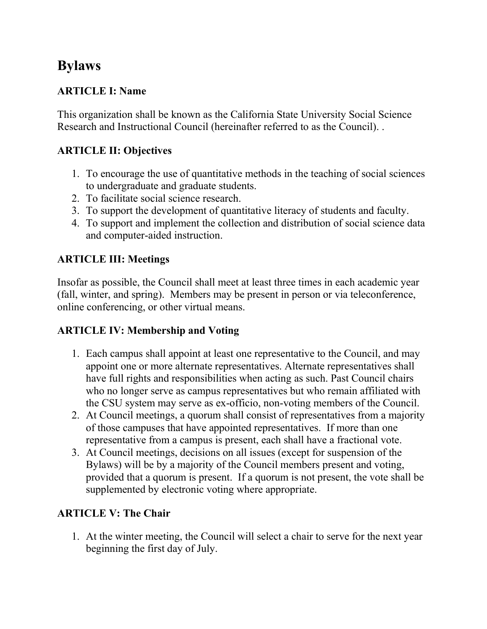# **Bylaws**

## **ARTICLE I: Name**

This organization shall be known as the California State University Social Science Research and Instructional Council (hereinafter referred to as the Council). .

## **ARTICLE II: Objectives**

- 1. To encourage the use of quantitative methods in the teaching of social sciences to undergraduate and graduate students.
- 2. To facilitate social science research.
- 3. To support the development of quantitative literacy of students and faculty.
- 4. To support and implement the collection and distribution of social science data and computer-aided instruction.

# **ARTICLE III: Meetings**

Insofar as possible, the Council shall meet at least three times in each academic year (fall, winter, and spring). Members may be present in person or via teleconference, online conferencing, or other virtual means.

#### **ARTICLE IV: Membership and Voting**

- 1. Each campus shall appoint at least one representative to the Council, and may appoint one or more alternate representatives. Alternate representatives shall have full rights and responsibilities when acting as such. Past Council chairs who no longer serve as campus representatives but who remain affiliated with the CSU system may serve as ex-officio, non-voting members of the Council.
- 2. At Council meetings, a quorum shall consist of representatives from a majority of those campuses that have appointed representatives. If more than one representative from a campus is present, each shall have a fractional vote.
- 3. At Council meetings, decisions on all issues (except for suspension of the Bylaws) will be by a majority of the Council members present and voting, provided that a quorum is present. If a quorum is not present, the vote shall be supplemented by electronic voting where appropriate.

#### **ARTICLE V: The Chair**

1. At the winter meeting, the Council will select a chair to serve for the next year beginning the first day of July.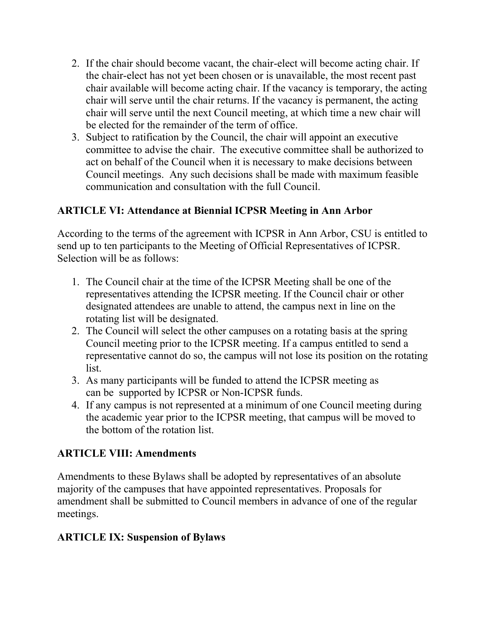- 2. If the chair should become vacant, the chair-elect will become acting chair. If the chair-elect has not yet been chosen or is unavailable, the most recent past chair available will become acting chair. If the vacancy is temporary, the acting chair will serve until the chair returns. If the vacancy is permanent, the acting chair will serve until the next Council meeting, at which time a new chair will be elected for the remainder of the term of office.
- 3. Subject to ratification by the Council, the chair will appoint an executive committee to advise the chair. The executive committee shall be authorized to act on behalf of the Council when it is necessary to make decisions between Council meetings. Any such decisions shall be made with maximum feasible communication and consultation with the full Council.

#### **ARTICLE VI: Attendance at Biennial ICPSR Meeting in Ann Arbor**

According to the terms of the agreement with ICPSR in Ann Arbor, CSU is entitled to send up to ten participants to the Meeting of Official Representatives of ICPSR. Selection will be as follows:

- 1. The Council chair at the time of the ICPSR Meeting shall be one of the representatives attending the ICPSR meeting. If the Council chair or other designated attendees are unable to attend, the campus next in line on the rotating list will be designated.
- 2. The Council will select the other campuses on a rotating basis at the spring Council meeting prior to the ICPSR meeting. If a campus entitled to send a representative cannot do so, the campus will not lose its position on the rotating list.
- 3. As many participants will be funded to attend the ICPSR meeting as can be supported by ICPSR or Non-ICPSR funds.
- 4. If any campus is not represented at a minimum of one Council meeting during the academic year prior to the ICPSR meeting, that campus will be moved to the bottom of the rotation list.

#### **ARTICLE VIII: Amendments**

Amendments to these Bylaws shall be adopted by representatives of an absolute majority of the campuses that have appointed representatives. Proposals for amendment shall be submitted to Council members in advance of one of the regular meetings.

#### **ARTICLE IX: Suspension of Bylaws**